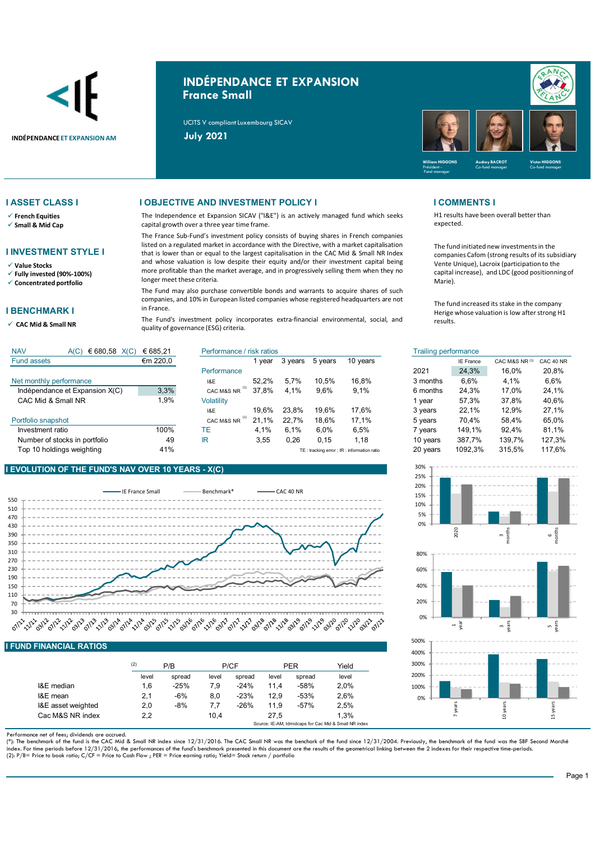

# INDÉPENDANCE ET EXPANSION France Small

UCITS V compliant Luxembourg SICAV



 $\checkmark$  French Equities

 $\checkmark$  Small & Mid Cap

# I INVESTMENT STYLE I

Value Stocks

 $\checkmark$  Fully invested (90%-100%)  $\checkmark$  Concentrated portfolio

### I BENCHMARK I

 $\checkmark$  CAC Mid & Small NR

Fund assets

## I ASSET CLASS I I OBJECTIVE AND INVESTMENT POLICY I I COMMENTS I

The Independence et Expansion SICAV ("I&E") is an actively managed fund which seeks capital growth over a three year time frame.

The France Sub-Fund's investment policy consists of buying shares in French companies listed on a regulated market in accordance with the Directive, with a market capitalisation that is lower than or equal to the largest capitalisation in the CAC Mid & Small NR Index and whose valuation is low despite their equity and/or their investment capital being more profitable than the market average, and in progressively selling them when they no longer meet these criteria.

The Fund may also purchase convertible bonds and warrants to acquire shares of such companies, and 10% in European listed companies whose registered headquarters are not in France.

The Fund's investment policy incorporates extra-financial environmental, social, and quality of governance (ESG) criteria.

TE: tracking error : IR : information ratio

H1 results have been overall better than expected.

The fund initiated new investments in the companies Cafom (strong results of its subsidiary Vente Unique), Lacroix (participation to the capital increase), and LDC (good positionning of Marie).

The fund increased its stake in the company Herige whose valuation is low after strong H1 results.

| € 680,58 $X(C)$<br><b>NAV</b><br>A(C) | € 685.21           | Performance / risk ratios |               |         |         |                                                                      | Trailing performance |                  |                           |           |
|---------------------------------------|--------------------|---------------------------|---------------|---------|---------|----------------------------------------------------------------------|----------------------|------------------|---------------------------|-----------|
| <b>Fund assets</b>                    | $\epsilon$ m 220,0 |                           | vear          | 3 vears | 5 vears | 10 years                                                             |                      | <b>IE France</b> | CAC M&S NR <sup>(1)</sup> | CAC 40 NR |
|                                       |                    | Performance               |               |         |         |                                                                      | 2021                 | 24,3%            | 16.0%                     | 20.8%     |
| Net monthly performance               |                    | I&E                       | 52.2%         | 5.7%    | 10.5%   | 16.8%                                                                | 3 months             | 6,6%             | 4.1%                      | 6,6%      |
| Indépendance et Expansion X(C)        | 3,3%               | CAC M&S NR                | 37.8%         | 4.1%    | 9.6%    | 9.1%                                                                 | 6 months             | 24.3%            | 17.0%                     | 24.1%     |
| CAC Mid & Small NR                    | 9%.                | Volatility                |               |         |         |                                                                      | vear                 | 57.3%            | 37.8%                     | 40.6%     |
|                                       |                    | 1&E                       | 19.6%         | 23.8%   | 19.6%   | 17.6%                                                                | 3 years              | 22.1%            | 12.9%                     | 27.1%     |
| Portfolio snapshot                    |                    | CAC M&S NR                | $.1\%$<br>21. | 22.7%   | 18.6%   | 17.1%                                                                | 5 years              | 70.4%            | 58.4%                     | 65.0%     |
| Investment ratio                      | 100%               | TE.                       | 4.1%          | 6.1%    | 6.0%    | 6,5%                                                                 | vears                | 149.1%           | 92.4%                     | 81.1%     |
| Number of stocks in portfolio         | 49                 | IR.                       | 3.55          | 0.26    | 0.15    | 1.18                                                                 | 10 years             | 387.7%           | 139.7%                    | 127,3%    |
| Ton 10 holdings weighting             | $A$ 1 0/           |                           |               |         |         | THE contract discussion and contract the contract of the contract of | $20$ years           | 1002.3%          | 215.50/                   | 117.60L   |



### **Performance** Net monthly performance The State Islam Control of the U.S. 2004 State Islam State III and Net Theorems and Net The State Islam State Islam State Islam State Islam State Islam State Islam State Islam State Islam State Isla Indépendance et Expansion X(C)  $\overline{3.3\%}$  CAC M&S NR  $^{(1)}$  37.8% 4.1% 9.6% 9.1% CAC Mid & Small NR<br>
1,9% Volatility<br>
19,6% 23,8% 19,6% 17,6% I&E 19,6% 23,8% 19,6% 17,6% 3 years Portfolio snapshot **Portfolio snapshot** CAC M&S NR <sup>(1)</sup> 21,1% 22,7% 18,6% 17,1%<br>
Investment ratio 100% TE 4.1% 6.1% 6.0% 6.5% 100% 4,1% 6,1% 6,0% 6,5% 149,1% (1) (1)

lnvestment ratio 100% TE 4,1% 6,1% 6,0% 6,5% 7 years Number of stocks in portfolio  $\begin{array}{ccc} 49 & \text{IR} & 3,55 & 0,26 & 0,15 & 1,18 \end{array}$ Top 10 holdings weighting error into the 41%

## EVOLUTION OF THE FUND'S NAV OVER 10 YEARS - X(C)



# I FUND FINANCIAL RATIOS

|                    | (2)   | P/B    |       | P/CF   |       | <b>PER</b> | Yield |
|--------------------|-------|--------|-------|--------|-------|------------|-------|
|                    | level | spread | level | spread | level | spread     | level |
| I&E median         | 1.6   | $-25%$ | 7.9   | $-24%$ | 11.4  | $-58%$     | 2.0%  |
| I&E mean           | 2,1   | $-6%$  | 8.0   | $-23%$ | 12.9  | $-53%$     | 2.6%  |
| I&E asset weighted | 2,0   | $-8%$  | 7.7   | $-26%$ | 11.9  | $-57%$     | 2.5%  |
| Cac M&S NR index   | 2,2   |        | 10,4  |        | 27.5  |            | 1.3%  |

Performance net of fees; dividends are accrued.

(\*): The benchmark of the fund is the CAC Mid & Small NR index since 12/31/2016. The CAC Small NR was the benchark of the fund since 12/31/2004. Previously, the benchmark of the fund was the SBF Second Marché index. For time periods before 12/31/2016, the performances of the fund's benchmark presented in this document are the results of the geometrical linking between the 2 indexes for their respective time-periods.<br>(2): P/B= P